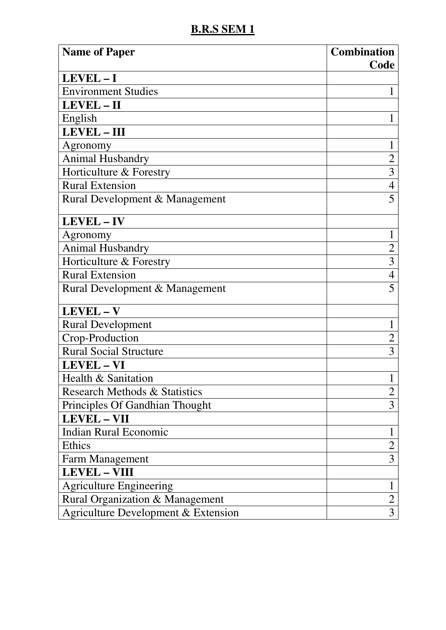| <b>Name of Paper</b>                | <b>Combination</b> |
|-------------------------------------|--------------------|
|                                     | Code               |
| LEVEL-I                             |                    |
| <b>Environment Studies</b>          | 1                  |
| LEVEL-II                            |                    |
| English                             | 1                  |
| <b>LEVEL-III</b>                    |                    |
| Agronomy                            | 1                  |
| Animal Husbandry                    | $\overline{2}$     |
| Horticulture & Forestry             | $\overline{3}$     |
| <b>Rural Extension</b>              | $\overline{4}$     |
| Rural Development & Management      | 5                  |
| LEVEL-IV                            |                    |
| Agronomy                            | 1                  |
| Animal Husbandry                    | $\overline{c}$     |
| Horticulture & Forestry             | $\overline{3}$     |
| <b>Rural Extension</b>              | $\overline{4}$     |
| Rural Development & Management      | 5                  |
| LEVEL-V                             |                    |
| <b>Rural Development</b>            | 1                  |
| Crop-Production                     | $\overline{2}$     |
| <b>Rural Social Structure</b>       | 3                  |
| <b>LEVEL-VI</b>                     |                    |
| Health & Sanitation                 | $\mathbf{1}$       |
| Research Methods & Statistics       | $\overline{2}$     |
| Principles Of Gandhian Thought      | 3                  |
| <b>LEVEL - VII</b>                  |                    |
| <b>Indian Rural Economic</b>        | 1                  |
| <b>Ethics</b>                       | $\overline{2}$     |
| <b>Farm Management</b>              | $\overline{3}$     |
| <b>LEVEL - VIII</b>                 |                    |
| <b>Agriculture Engineering</b>      | $\mathbf{1}$       |
| Rural Organization & Management     | $\overline{2}$     |
| Agriculture Development & Extension | 3                  |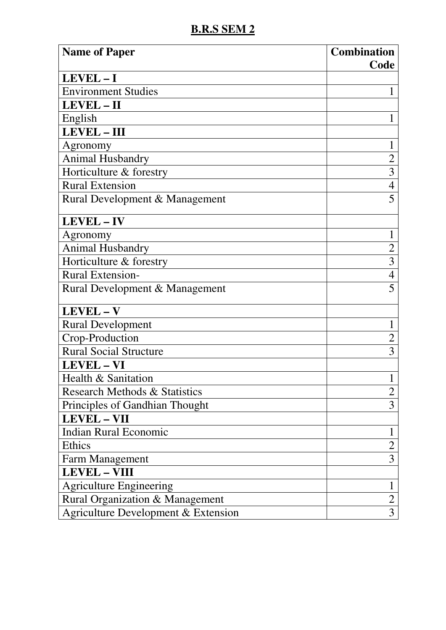| <b>Name of Paper</b>                | <b>Combination</b> |
|-------------------------------------|--------------------|
| LEVEL-I                             | Code               |
| <b>Environment Studies</b>          | 1                  |
| LEVEL-II                            |                    |
|                                     | 1                  |
| English<br>LEVEL-III                |                    |
|                                     |                    |
| Agronomy                            | 1                  |
| <b>Animal Husbandry</b>             | $\overline{2}$     |
| Horticulture & forestry             | 3                  |
| <b>Rural Extension</b>              | $\overline{4}$     |
| Rural Development & Management      | 5                  |
| LEVEL-IV                            |                    |
| Agronomy                            | 1                  |
| Animal Husbandry                    | $\overline{2}$     |
| Horticulture & forestry             | 3                  |
| <b>Rural Extension-</b>             | $\overline{4}$     |
| Rural Development & Management      | 5                  |
| LEVEL-V                             |                    |
| <b>Rural Development</b>            | 1                  |
| Crop-Production                     | $\overline{2}$     |
| <b>Rural Social Structure</b>       | 3                  |
| <b>LEVEL-VI</b>                     |                    |
| Health & Sanitation                 | $\mathbf{1}$       |
| Research Methods & Statistics       | $\overline{2}$     |
| Principles of Gandhian Thought      | 3                  |
| <b>LEVEL - VII</b>                  |                    |
| <b>Indian Rural Economic</b>        | 1                  |
| Ethics                              | $\overline{2}$     |
| Farm Management                     | 3                  |
| <b>LEVEL - VIII</b>                 |                    |
| <b>Agriculture Engineering</b>      | 1                  |
| Rural Organization & Management     | $\overline{2}$     |
| Agriculture Development & Extension | 3                  |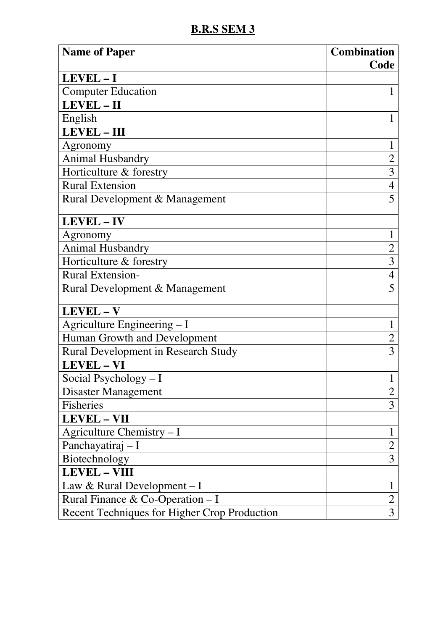| <b>Name of Paper</b>                         | <b>Combination</b> |
|----------------------------------------------|--------------------|
| LEVEL-I                                      | Code               |
| <b>Computer Education</b>                    | 1                  |
| LEVEL-II                                     |                    |
|                                              |                    |
| English                                      | 1                  |
| <b>LEVEL-III</b>                             |                    |
| Agronomy                                     | $\mathbf{1}$       |
| <b>Animal Husbandry</b>                      | $\overline{2}$     |
| Horticulture & forestry                      | $\overline{3}$     |
| <b>Rural Extension</b>                       | $\overline{4}$     |
| Rural Development & Management               | 5                  |
| LEVEL-IV                                     |                    |
| Agronomy                                     |                    |
| <b>Animal Husbandry</b>                      | $\overline{2}$     |
| Horticulture & forestry                      | 3                  |
| <b>Rural Extension-</b>                      | $\overline{4}$     |
| Rural Development & Management               | 5                  |
| LEVEL-V                                      |                    |
| Agriculture Engineering - I                  | 1                  |
| Human Growth and Development                 | $\overline{2}$     |
| <b>Rural Development in Research Study</b>   | 3                  |
| <b>LEVEL-VI</b>                              |                    |
| Social Psychology - I                        | $\mathbf{1}$       |
| <b>Disaster Management</b>                   | $\overline{2}$     |
| Fisheries                                    | 3                  |
| <b>LEVEL - VII</b>                           |                    |
| Agriculture Chemistry $-I$                   | $\mathbf{1}$       |
| Panchayatiraj - I                            | $\overline{2}$     |
| Biotechnology                                | 3                  |
| <b>LEVEL - VIII</b>                          |                    |
| Law & Rural Development $-I$                 | $\mathbf{1}$       |
| Rural Finance & Co-Operation - I             | $\overline{2}$     |
| Recent Techniques for Higher Crop Production | 3                  |